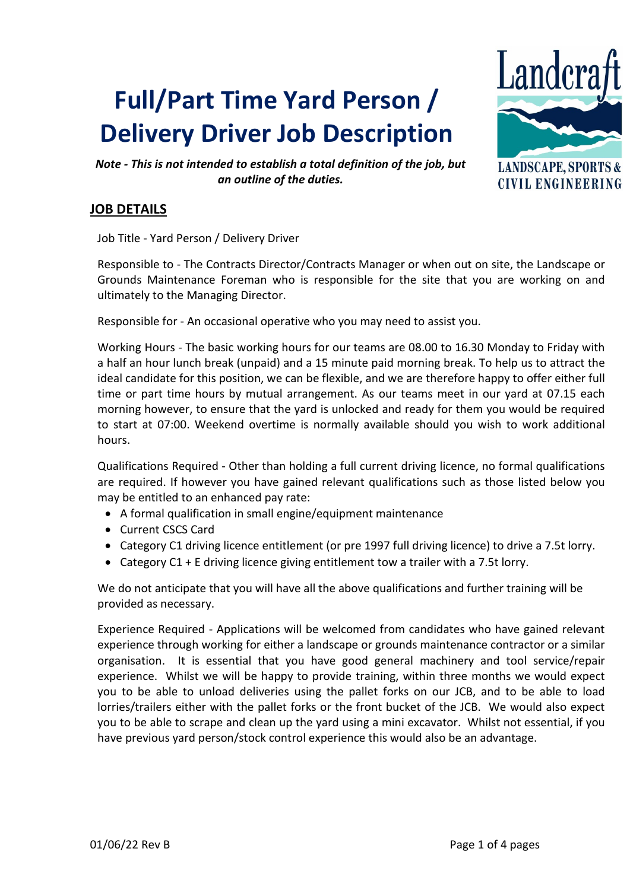# **Full/Part Time Yard Person / Delivery Driver Job Description**



**CIVIL ENGINEERING** 

*Note - This is not intended to establish a total definition of the job, but an outline of the duties.*

# **JOB DETAILS**

Job Title - Yard Person / Delivery Driver

Responsible to - The Contracts Director/Contracts Manager or when out on site, the Landscape or Grounds Maintenance Foreman who is responsible for the site that you are working on and ultimately to the Managing Director.

Responsible for - An occasional operative who you may need to assist you.

Working Hours - The basic working hours for our teams are 08.00 to 16.30 Monday to Friday with a half an hour lunch break (unpaid) and a 15 minute paid morning break. To help us to attract the ideal candidate for this position, we can be flexible, and we are therefore happy to offer either full time or part time hours by mutual arrangement. As our teams meet in our yard at 07.15 each morning however, to ensure that the yard is unlocked and ready for them you would be required to start at 07:00. Weekend overtime is normally available should you wish to work additional hours.

Qualifications Required - Other than holding a full current driving licence, no formal qualifications are required. If however you have gained relevant qualifications such as those listed below you may be entitled to an enhanced pay rate:

- A formal qualification in small engine/equipment maintenance
- Current CSCS Card
- Category C1 driving licence entitlement (or pre 1997 full driving licence) to drive a 7.5t lorry.
- Category C1 + E driving licence giving entitlement tow a trailer with a 7.5t lorry.

We do not anticipate that you will have all the above qualifications and further training will be provided as necessary.

Experience Required - Applications will be welcomed from candidates who have gained relevant experience through working for either a landscape or grounds maintenance contractor or a similar organisation. It is essential that you have good general machinery and tool service/repair experience. Whilst we will be happy to provide training, within three months we would expect you to be able to unload deliveries using the pallet forks on our JCB, and to be able to load lorries/trailers either with the pallet forks or the front bucket of the JCB. We would also expect you to be able to scrape and clean up the yard using a mini excavator. Whilst not essential, if you have previous yard person/stock control experience this would also be an advantage.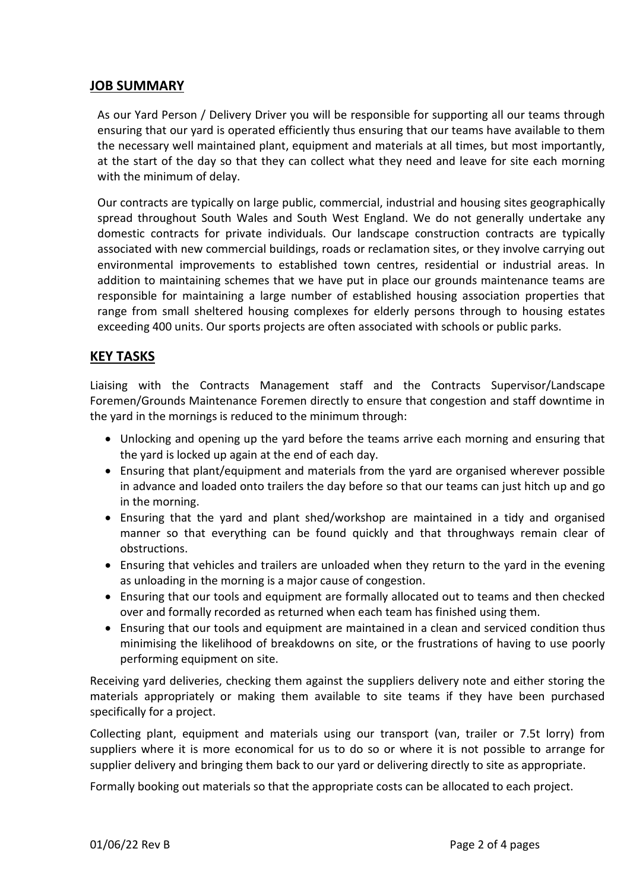### **JOB SUMMARY**

As our Yard Person / Delivery Driver you will be responsible for supporting all our teams through ensuring that our yard is operated efficiently thus ensuring that our teams have available to them the necessary well maintained plant, equipment and materials at all times, but most importantly, at the start of the day so that they can collect what they need and leave for site each morning with the minimum of delay.

Our contracts are typically on large public, commercial, industrial and housing sites geographically spread throughout South Wales and South West England. We do not generally undertake any domestic contracts for private individuals. Our landscape construction contracts are typically associated with new commercial buildings, roads or reclamation sites, or they involve carrying out environmental improvements to established town centres, residential or industrial areas. In addition to maintaining schemes that we have put in place our grounds maintenance teams are responsible for maintaining a large number of established housing association properties that range from small sheltered housing complexes for elderly persons through to housing estates exceeding 400 units. Our sports projects are often associated with schools or public parks.

## **KEY TASKS**

Liaising with the Contracts Management staff and the Contracts Supervisor/Landscape Foremen/Grounds Maintenance Foremen directly to ensure that congestion and staff downtime in the yard in the mornings is reduced to the minimum through:

- Unlocking and opening up the yard before the teams arrive each morning and ensuring that the yard is locked up again at the end of each day.
- Ensuring that plant/equipment and materials from the yard are organised wherever possible in advance and loaded onto trailers the day before so that our teams can just hitch up and go in the morning.
- Ensuring that the yard and plant shed/workshop are maintained in a tidy and organised manner so that everything can be found quickly and that throughways remain clear of obstructions.
- Ensuring that vehicles and trailers are unloaded when they return to the yard in the evening as unloading in the morning is a major cause of congestion.
- Ensuring that our tools and equipment are formally allocated out to teams and then checked over and formally recorded as returned when each team has finished using them.
- Ensuring that our tools and equipment are maintained in a clean and serviced condition thus minimising the likelihood of breakdowns on site, or the frustrations of having to use poorly performing equipment on site.

Receiving yard deliveries, checking them against the suppliers delivery note and either storing the materials appropriately or making them available to site teams if they have been purchased specifically for a project.

Collecting plant, equipment and materials using our transport (van, trailer or 7.5t lorry) from suppliers where it is more economical for us to do so or where it is not possible to arrange for supplier delivery and bringing them back to our yard or delivering directly to site as appropriate.

Formally booking out materials so that the appropriate costs can be allocated to each project.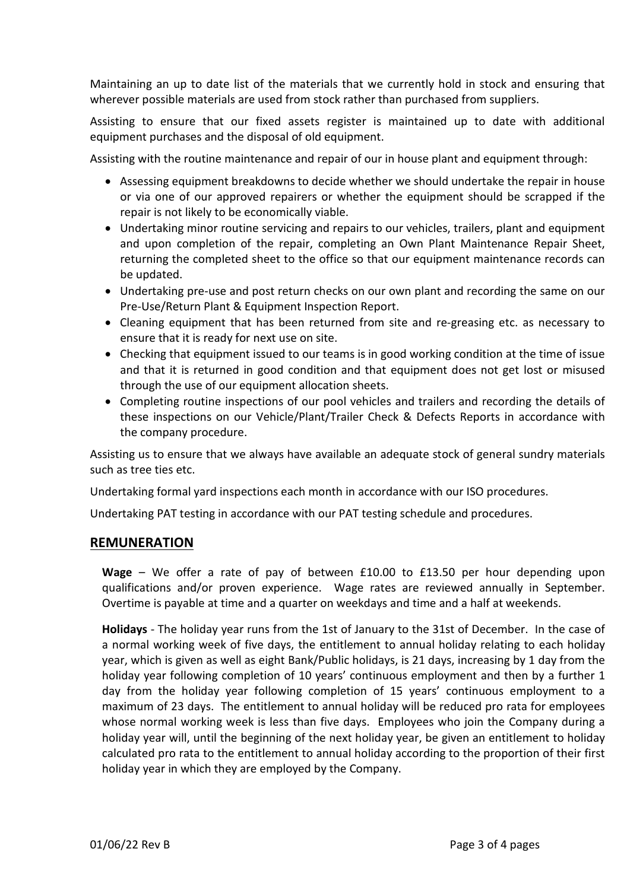Maintaining an up to date list of the materials that we currently hold in stock and ensuring that wherever possible materials are used from stock rather than purchased from suppliers.

Assisting to ensure that our fixed assets register is maintained up to date with additional equipment purchases and the disposal of old equipment.

Assisting with the routine maintenance and repair of our in house plant and equipment through:

- Assessing equipment breakdowns to decide whether we should undertake the repair in house or via one of our approved repairers or whether the equipment should be scrapped if the repair is not likely to be economically viable.
- Undertaking minor routine servicing and repairs to our vehicles, trailers, plant and equipment and upon completion of the repair, completing an Own Plant Maintenance Repair Sheet, returning the completed sheet to the office so that our equipment maintenance records can be updated.
- Undertaking pre-use and post return checks on our own plant and recording the same on our Pre-Use/Return Plant & Equipment Inspection Report.
- Cleaning equipment that has been returned from site and re-greasing etc. as necessary to ensure that it is ready for next use on site.
- Checking that equipment issued to our teams is in good working condition at the time of issue and that it is returned in good condition and that equipment does not get lost or misused through the use of our equipment allocation sheets.
- Completing routine inspections of our pool vehicles and trailers and recording the details of these inspections on our Vehicle/Plant/Trailer Check & Defects Reports in accordance with the company procedure.

Assisting us to ensure that we always have available an adequate stock of general sundry materials such as tree ties etc.

Undertaking formal yard inspections each month in accordance with our ISO procedures.

Undertaking PAT testing in accordance with our PAT testing schedule and procedures.

#### **REMUNERATION**

**Wage** – We offer a rate of pay of between £10.00 to £13.50 per hour depending upon qualifications and/or proven experience. Wage rates are reviewed annually in September. Overtime is payable at time and a quarter on weekdays and time and a half at weekends.

**Holidays** - The holiday year runs from the 1st of January to the 31st of December. In the case of a normal working week of five days, the entitlement to annual holiday relating to each holiday year, which is given as well as eight Bank/Public holidays, is 21 days, increasing by 1 day from the holiday year following completion of 10 years' continuous employment and then by a further 1 day from the holiday year following completion of 15 years' continuous employment to a maximum of 23 days. The entitlement to annual holiday will be reduced pro rata for employees whose normal working week is less than five days. Employees who join the Company during a holiday year will, until the beginning of the next holiday year, be given an entitlement to holiday calculated pro rata to the entitlement to annual holiday according to the proportion of their first holiday year in which they are employed by the Company.